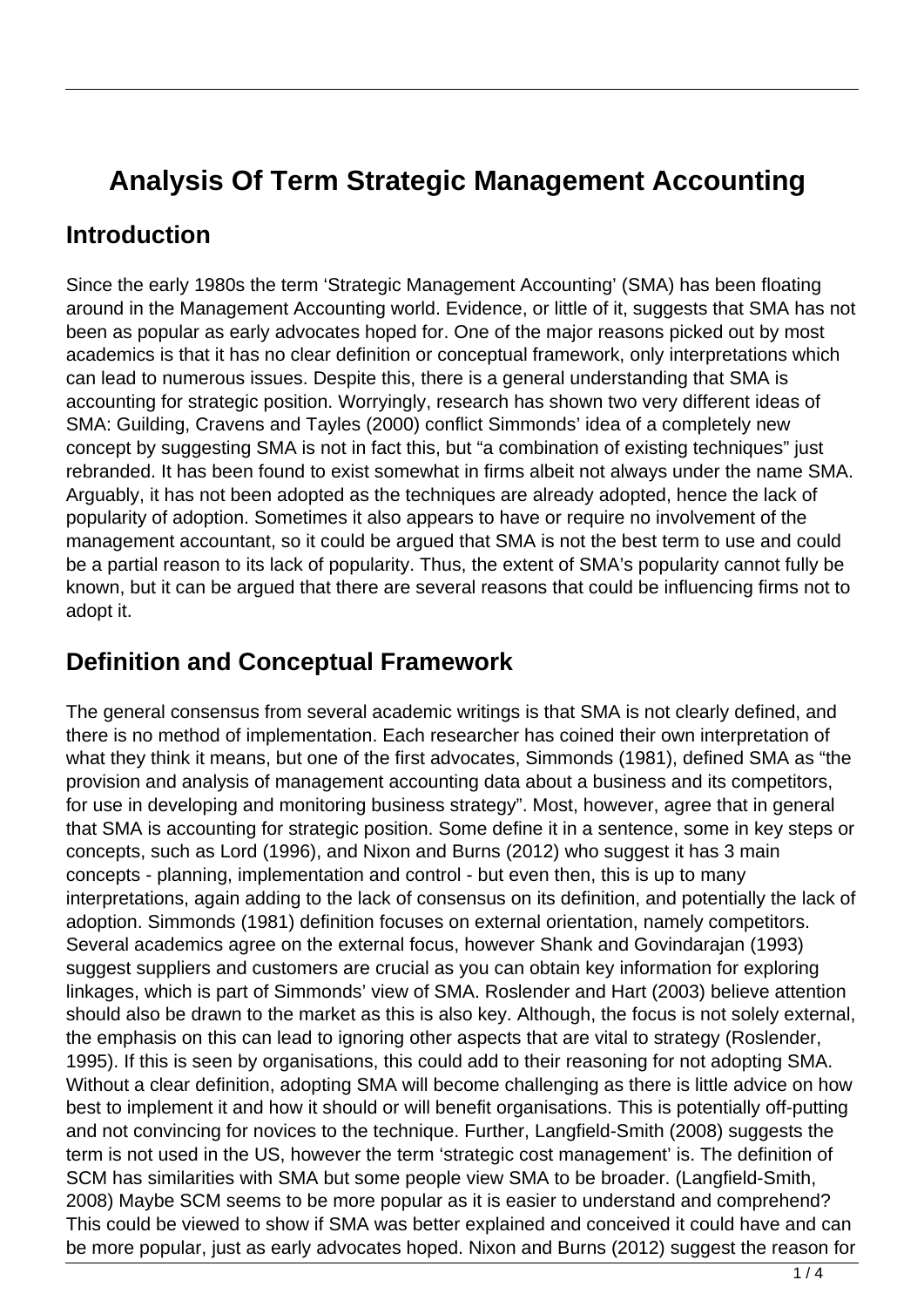## **Analysis Of Term Strategic Management Accounting**

## **Introduction**

Since the early 1980s the term 'Strategic Management Accounting' (SMA) has been floating around in the Management Accounting world. Evidence, or little of it, suggests that SMA has not been as popular as early advocates hoped for. One of the major reasons picked out by most academics is that it has no clear definition or conceptual framework, only interpretations which can lead to numerous issues. Despite this, there is a general understanding that SMA is accounting for strategic position. Worryingly, research has shown two very different ideas of SMA: Guilding, Cravens and Tayles (2000) conflict Simmonds' idea of a completely new concept by suggesting SMA is not in fact this, but "a combination of existing techniques" just rebranded. It has been found to exist somewhat in firms albeit not always under the name SMA. Arguably, it has not been adopted as the techniques are already adopted, hence the lack of popularity of adoption. Sometimes it also appears to have or require no involvement of the management accountant, so it could be argued that SMA is not the best term to use and could be a partial reason to its lack of popularity. Thus, the extent of SMA's popularity cannot fully be known, but it can be argued that there are several reasons that could be influencing firms not to adopt it.

## **Definition and Conceptual Framework**

The general consensus from several academic writings is that SMA is not clearly defined, and there is no method of implementation. Each researcher has coined their own interpretation of what they think it means, but one of the first advocates, Simmonds (1981), defined SMA as "the provision and analysis of management accounting data about a business and its competitors, for use in developing and monitoring business strategy". Most, however, agree that in general that SMA is accounting for strategic position. Some define it in a sentence, some in key steps or concepts, such as Lord (1996), and Nixon and Burns (2012) who suggest it has 3 main concepts - planning, implementation and control - but even then, this is up to many interpretations, again adding to the lack of consensus on its definition, and potentially the lack of adoption. Simmonds (1981) definition focuses on external orientation, namely competitors. Several academics agree on the external focus, however Shank and Govindarajan (1993) suggest suppliers and customers are crucial as you can obtain key information for exploring linkages, which is part of Simmonds' view of SMA. Roslender and Hart (2003) believe attention should also be drawn to the market as this is also key. Although, the focus is not solely external, the emphasis on this can lead to ignoring other aspects that are vital to strategy (Roslender, 1995). If this is seen by organisations, this could add to their reasoning for not adopting SMA. Without a clear definition, adopting SMA will become challenging as there is little advice on how best to implement it and how it should or will benefit organisations. This is potentially off-putting and not convincing for novices to the technique. Further, Langfield-Smith (2008) suggests the term is not used in the US, however the term 'strategic cost management' is. The definition of SCM has similarities with SMA but some people view SMA to be broader. (Langfield-Smith, 2008) Maybe SCM seems to be more popular as it is easier to understand and comprehend? This could be viewed to show if SMA was better explained and conceived it could have and can be more popular, just as early advocates hoped. Nixon and Burns (2012) suggest the reason for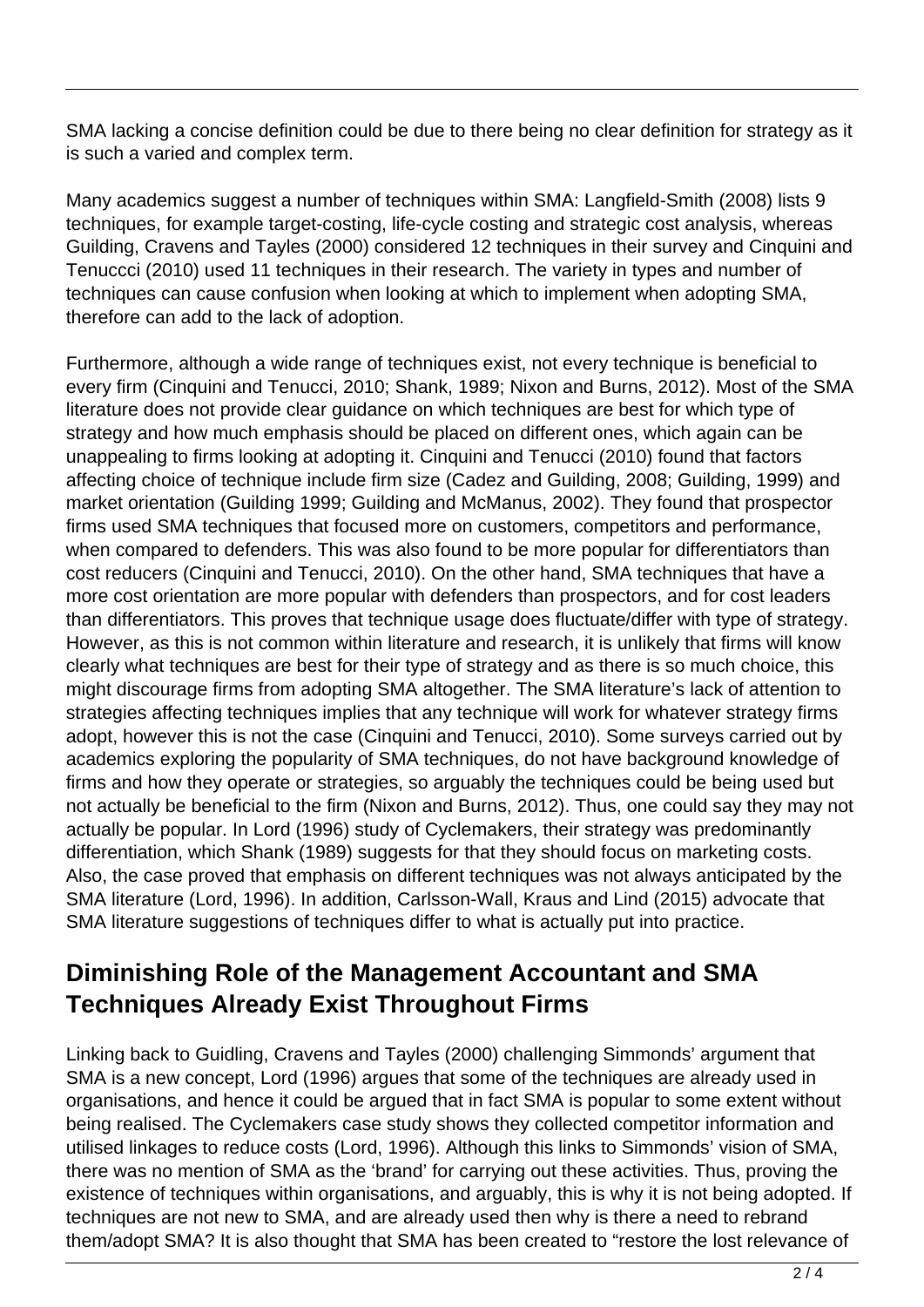SMA lacking a concise definition could be due to there being no clear definition for strategy as it is such a varied and complex term.

Many academics suggest a number of techniques within SMA: Langfield-Smith (2008) lists 9 techniques, for example target-costing, life-cycle costing and strategic cost analysis, whereas Guilding, Cravens and Tayles (2000) considered 12 techniques in their survey and Cinquini and Tenuccci (2010) used 11 techniques in their research. The variety in types and number of techniques can cause confusion when looking at which to implement when adopting SMA, therefore can add to the lack of adoption.

Furthermore, although a wide range of techniques exist, not every technique is beneficial to every firm (Cinquini and Tenucci, 2010; Shank, 1989; Nixon and Burns, 2012). Most of the SMA literature does not provide clear guidance on which techniques are best for which type of strategy and how much emphasis should be placed on different ones, which again can be unappealing to firms looking at adopting it. Cinquini and Tenucci (2010) found that factors affecting choice of technique include firm size (Cadez and Guilding, 2008; Guilding, 1999) and market orientation (Guilding 1999; Guilding and McManus, 2002). They found that prospector firms used SMA techniques that focused more on customers, competitors and performance, when compared to defenders. This was also found to be more popular for differentiators than cost reducers (Cinquini and Tenucci, 2010). On the other hand, SMA techniques that have a more cost orientation are more popular with defenders than prospectors, and for cost leaders than differentiators. This proves that technique usage does fluctuate/differ with type of strategy. However, as this is not common within literature and research, it is unlikely that firms will know clearly what techniques are best for their type of strategy and as there is so much choice, this might discourage firms from adopting SMA altogether. The SMA literature's lack of attention to strategies affecting techniques implies that any technique will work for whatever strategy firms adopt, however this is not the case (Cinquini and Tenucci, 2010). Some surveys carried out by academics exploring the popularity of SMA techniques, do not have background knowledge of firms and how they operate or strategies, so arguably the techniques could be being used but not actually be beneficial to the firm (Nixon and Burns, 2012). Thus, one could say they may not actually be popular. In Lord (1996) study of Cyclemakers, their strategy was predominantly differentiation, which Shank (1989) suggests for that they should focus on marketing costs. Also, the case proved that emphasis on different techniques was not always anticipated by the SMA literature (Lord, 1996). In addition, Carlsson-Wall, Kraus and Lind (2015) advocate that SMA literature suggestions of techniques differ to what is actually put into practice.

## **Diminishing Role of the Management Accountant and SMA Techniques Already Exist Throughout Firms**

Linking back to Guidling, Cravens and Tayles (2000) challenging Simmonds' argument that SMA is a new concept, Lord (1996) argues that some of the techniques are already used in organisations, and hence it could be argued that in fact SMA is popular to some extent without being realised. The Cyclemakers case study shows they collected competitor information and utilised linkages to reduce costs (Lord, 1996). Although this links to Simmonds' vision of SMA, there was no mention of SMA as the 'brand' for carrying out these activities. Thus, proving the existence of techniques within organisations, and arguably, this is why it is not being adopted. If techniques are not new to SMA, and are already used then why is there a need to rebrand them/adopt SMA? It is also thought that SMA has been created to "restore the lost relevance of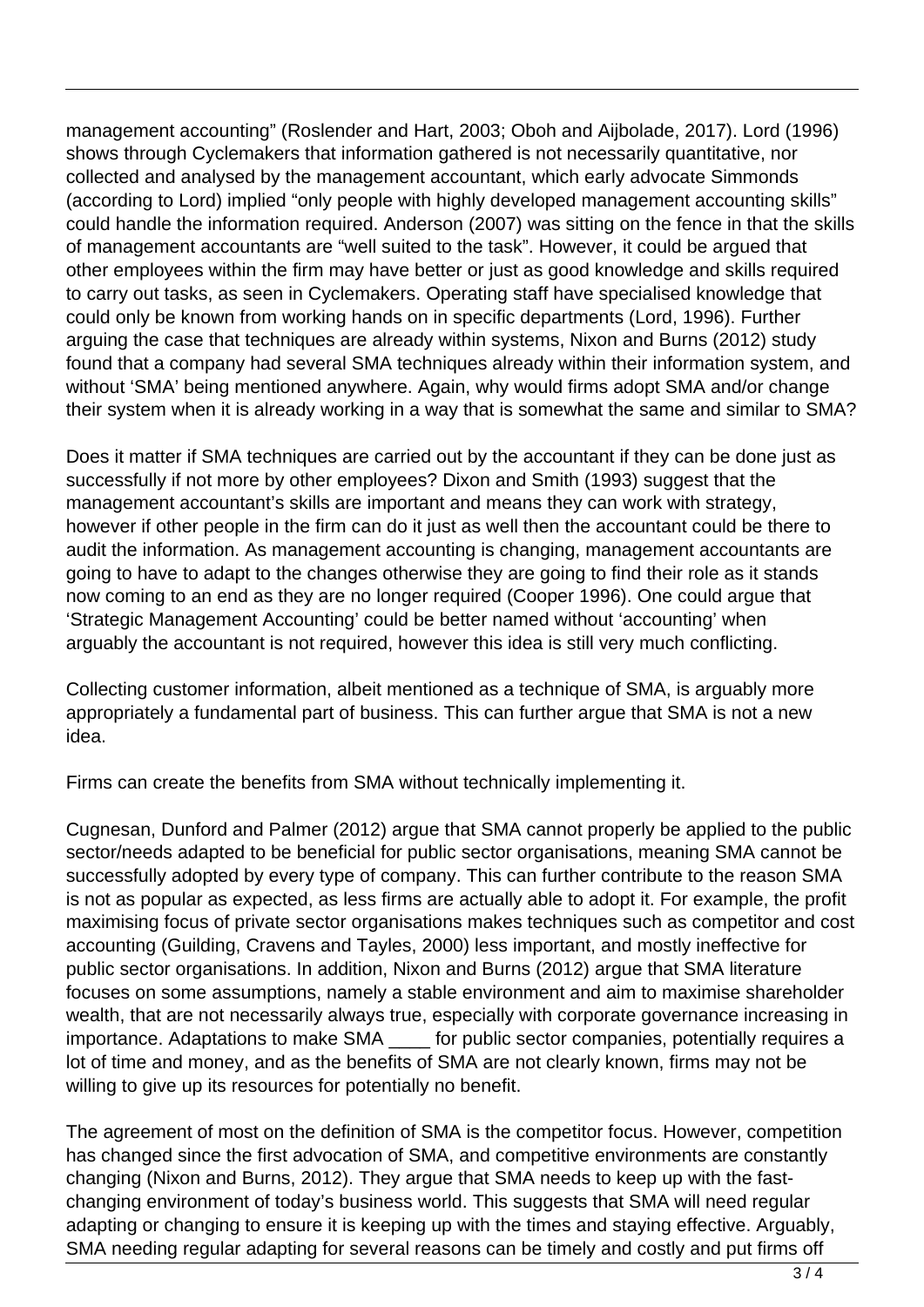management accounting" (Roslender and Hart, 2003; Oboh and Aijbolade, 2017). Lord (1996) shows through Cyclemakers that information gathered is not necessarily quantitative, nor collected and analysed by the management accountant, which early advocate Simmonds (according to Lord) implied "only people with highly developed management accounting skills" could handle the information required. Anderson (2007) was sitting on the fence in that the skills of management accountants are "well suited to the task". However, it could be argued that other employees within the firm may have better or just as good knowledge and skills required to carry out tasks, as seen in Cyclemakers. Operating staff have specialised knowledge that could only be known from working hands on in specific departments (Lord, 1996). Further arguing the case that techniques are already within systems, Nixon and Burns (2012) study found that a company had several SMA techniques already within their information system, and without 'SMA' being mentioned anywhere. Again, why would firms adopt SMA and/or change their system when it is already working in a way that is somewhat the same and similar to SMA?

Does it matter if SMA techniques are carried out by the accountant if they can be done just as successfully if not more by other employees? Dixon and Smith (1993) suggest that the management accountant's skills are important and means they can work with strategy, however if other people in the firm can do it just as well then the accountant could be there to audit the information. As management accounting is changing, management accountants are going to have to adapt to the changes otherwise they are going to find their role as it stands now coming to an end as they are no longer required (Cooper 1996). One could argue that 'Strategic Management Accounting' could be better named without 'accounting' when arguably the accountant is not required, however this idea is still very much conflicting.

Collecting customer information, albeit mentioned as a technique of SMA, is arguably more appropriately a fundamental part of business. This can further argue that SMA is not a new idea.

Firms can create the benefits from SMA without technically implementing it.

Cugnesan, Dunford and Palmer (2012) argue that SMA cannot properly be applied to the public sector/needs adapted to be beneficial for public sector organisations, meaning SMA cannot be successfully adopted by every type of company. This can further contribute to the reason SMA is not as popular as expected, as less firms are actually able to adopt it. For example, the profit maximising focus of private sector organisations makes techniques such as competitor and cost accounting (Guilding, Cravens and Tayles, 2000) less important, and mostly ineffective for public sector organisations. In addition, Nixon and Burns (2012) argue that SMA literature focuses on some assumptions, namely a stable environment and aim to maximise shareholder wealth, that are not necessarily always true, especially with corporate governance increasing in importance. Adaptations to make SMA \_\_\_\_ for public sector companies, potentially requires a lot of time and money, and as the benefits of SMA are not clearly known, firms may not be willing to give up its resources for potentially no benefit.

The agreement of most on the definition of SMA is the competitor focus. However, competition has changed since the first advocation of SMA, and competitive environments are constantly changing (Nixon and Burns, 2012). They argue that SMA needs to keep up with the fastchanging environment of today's business world. This suggests that SMA will need regular adapting or changing to ensure it is keeping up with the times and staying effective. Arguably, SMA needing regular adapting for several reasons can be timely and costly and put firms off